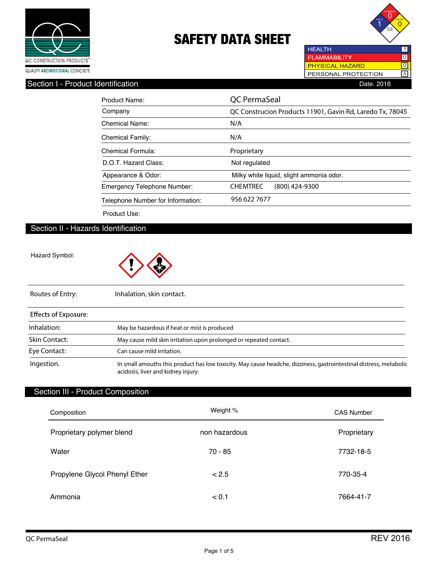



**HEALTH FLAMMABILITY**  $\overline{10}$  $\overline{\text{o}}$ PHYSICAL HAZARD PERSONAL PROTECTION A

#### Section I - Product Identification **Date.** 2016

| Product Name:                     | QC PermaSeal                                              |  |
|-----------------------------------|-----------------------------------------------------------|--|
| Company                           | QC Construcion Products 11901, Gavin Rd, Laredo Tx, 78045 |  |
| Chemical Name:                    | N/A                                                       |  |
| <b>Chemical Family:</b>           | N/A                                                       |  |
| Chemical Formula:                 | Proprietary                                               |  |
| D.O.T. Hazard Class:              | Not regulated                                             |  |
| Appearance & Odor:                | Milky white liquid, slight ammonia odor.                  |  |
| Emergency Telephone Number:       | <b>CHEMTREC</b><br>$(800)$ 424-9300                       |  |
| Telephone Number for Information: | 956 622 7677                                              |  |

Product Use:

## Section II - Hazards Identification

Hazard Symbol:



| Routes of Entry:            | Inhalation, skin contact.                                                                                                                                |
|-----------------------------|----------------------------------------------------------------------------------------------------------------------------------------------------------|
| <b>Effects of Exposure:</b> |                                                                                                                                                          |
| Inhalation:                 | May be hazardous if heat or mist is produced                                                                                                             |
| <b>Skin Contact:</b>        | May cause mild skin irritation upon prolonged or repeated contact.                                                                                       |
| Eye Contact:                | Can cause mild irritation.                                                                                                                               |
| Ingestion.                  | In small amouths this product has low toxicity. May cause headche, dizziness, gastrointestinal distress, metabolic<br>acidosis, liver and kidney injury. |

## Section III - Product Composition

| Composition                   | Weight %      | <b>CAS Number</b> |
|-------------------------------|---------------|-------------------|
| Proprietary polymer blend     | non hazardous | Proprietary       |
| Water                         | 70 - 85       | 7732-18-5         |
| Propylene Glycol Phenyl Ether | < 2.5         | 770-35-4          |
| Ammonia                       | < 0.1         | 7664-41-7         |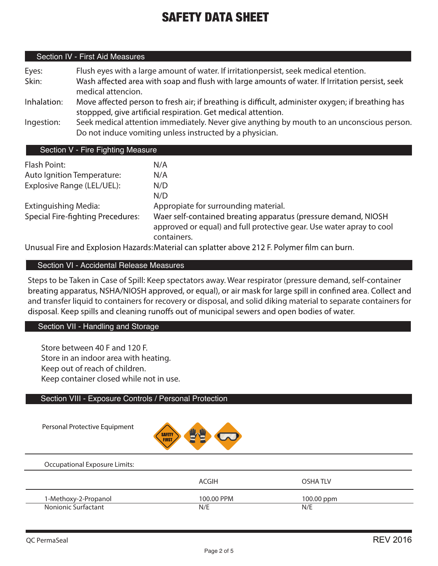## Section IV - First Aid Measures

| Eyes:       | Flush eyes with a large amount of water. If irritationpersist, seek medical etention.                                                                              |
|-------------|--------------------------------------------------------------------------------------------------------------------------------------------------------------------|
| Skin:       | Wash affected area with soap and flush with large amounts of water. If Irritation persist, seek<br>medical attencion.                                              |
| Inhalation: | Move affected person to fresh air; if breathing is difficult, administer oxygen; if breathing has<br>stoppped, give artificial respiration. Get medical attention. |
| Ingestion:  | Seek medical attention immediately. Never give anything by mouth to an unconscious person.<br>Do not induce vomiting unless instructed by a physician.             |

## Section V - Fire Fighting Measure

| Flash Point:                             | N/A                                                                                                                                                   |
|------------------------------------------|-------------------------------------------------------------------------------------------------------------------------------------------------------|
| Auto Ignition Temperature:               | N/A                                                                                                                                                   |
| Explosive Range (LEL/UEL):               | N/D                                                                                                                                                   |
|                                          | N/D                                                                                                                                                   |
| Extinguishing Media:                     | Appropiate for surrounding material.                                                                                                                  |
| <b>Special Fire-fighting Precedures:</b> | Waer self-contained breating apparatus (pressure demand, NIOSH<br>approved or equal) and full protective gear. Use water apray to cool<br>containers. |

Unusual Fire and Explosion Hazards: Material can splatter above 212 F. Polymer film can burn.

## Section VI - Accidental Release Measures

Steps to be Taken in Case of Spill: Keep spectators away. Wear respirator (pressure demand, self-container breating apparatus, NSHA/NIOSH approved, or equal), or air mask for large spill in confined area. Collect and and transfer liquid to containers for recovery or disposal, and solid diking material to separate containers for disposal. Keep spills and cleaning runoffs out of municipal sewers and open bodies of water.

## Section VII - Handling and Storage

Store between 40 F and 120 F. Store in an indoor area with heating. Keep out of reach of children. Keep container closed while not in use.

### Section VIII - Exposure Controls / Personal Protection

Personal Protective Equipment



#### Occupational Exposure Limits:

|                      | ACGIH      | OSHA TI V  |  |
|----------------------|------------|------------|--|
| 1-Methoxy-2-Propanol | 100.00 PPM | 100.00 ppm |  |
| Nonionic Surfactant  | N/E        | N/E        |  |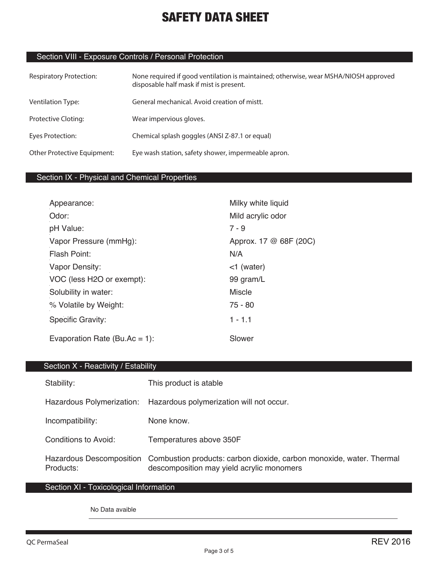## Section VIII - Exposure Controls / Personal Protection

| <b>Respiratory Protection:</b> | None required if good ventilation is maintained; otherwise, wear MSHA/NIOSH approved<br>disposable half mask if mist is present. |
|--------------------------------|----------------------------------------------------------------------------------------------------------------------------------|
| <b>Ventilation Type:</b>       | General mechanical. Avoid creation of mistt.                                                                                     |
| Protective Cloting:            | Wear impervious gloves.                                                                                                          |
| Eyes Protection:               | Chemical splash goggles (ANSI Z-87.1 or equal)                                                                                   |
| Other Protective Equipment:    | Eye wash station, safety shower, impermeable apron.                                                                              |

## Section IX - Physical and Chemical Properties

| Appearance:                   | Milky white liquid     |
|-------------------------------|------------------------|
| Odor:                         | Mild acrylic odor      |
| pH Value:                     | $7 - 9$                |
| Vapor Pressure (mmHg):        | Approx. 17 @ 68F (20C) |
| Flash Point:                  | N/A                    |
| Vapor Density:                | $<$ 1 (water)          |
| VOC (less H2O or exempt):     | 99 gram/L              |
| Solubility in water:          | <b>Miscle</b>          |
| % Volatile by Weight:         | $75 - 80$              |
| Specific Gravity:             | $1 - 1.1$              |
| Evaporation Rate (Bu.Ac = 1): | Slower                 |

## Section X - Reactivity / Estability

| Stability:                                   | This product is atable                                                                                            |
|----------------------------------------------|-------------------------------------------------------------------------------------------------------------------|
| Hazardous Polymerization:                    | Hazardous polymerization will not occur.                                                                          |
| Incompatibility:                             | None know.                                                                                                        |
| Conditions to Avoid:                         | Temperatures above 350F                                                                                           |
| <b>Hazardous Descomposition</b><br>Products: | Combustion products: carbon dioxide, carbon monoxide, water. Thermal<br>descomposition may yield acrylic monomers |

## Section XI - Toxicological Information

No Data avaible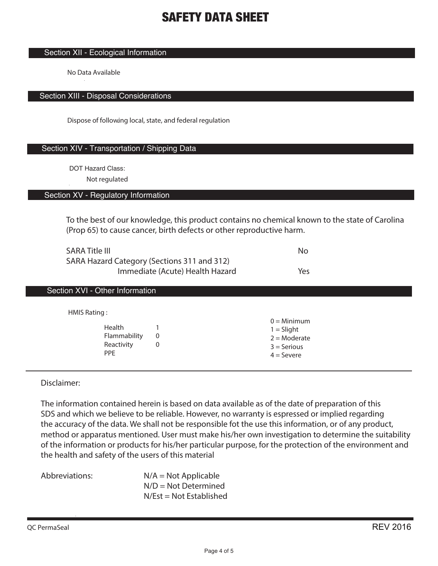#### Section XII - Ecological Information

No Data Available

#### Section XIII - Disposal Considerations

Dispose of following local, state, and federal regulation .

### Section XIV - Transportation / Shipping Data

DOT Hazard Class:

**Not regulated**

#### Section XV - Regulatory Information

To the best of our knowledge, this product contains no chemical known to the state of Carolina (Prop 65) to cause cancer, birth defects or other reproductive harm.

| <b>SARA Title III</b>                       | No  |
|---------------------------------------------|-----|
| SARA Hazard Category (Sections 311 and 312) |     |
| Immediate (Acute) Health Hazard             | Yes |

## Section XVI - Other Information

HMIS Rating :

| Health       | 1 |
|--------------|---|
| Flammability | 0 |
| Reactivity   | 0 |
| <b>PPF</b>   |   |

 $0 =$ Minimum  $1 =$  Slight  $2 =$ Moderate  $3 =$  Serious  $4 =$  Severe

Disclaimer:

The information contained herein is based on data available as of the date of preparation of this SDS and which we believe to be reliable. However, no warranty is espressed or implied regarding the accuracy of the data. We shall not be responsible fot the use this information, or of any product, method or apparatus mentioned. User must make his/her own investigation to determine the suitability of the information or products for his/her particular purpose, for the protection of the environment and the health and safety of the users of this material

| Abbreviations: | $N/A = Not Applicable$    |
|----------------|---------------------------|
|                | $N/D = Not Determined$    |
|                | $N/Est = Not Established$ |